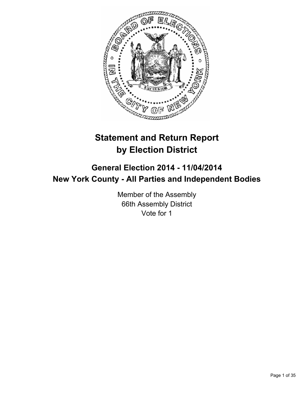

# **Statement and Return Report by Election District**

## **General Election 2014 - 11/04/2014 New York County - All Parties and Independent Bodies**

Member of the Assembly 66th Assembly District Vote for 1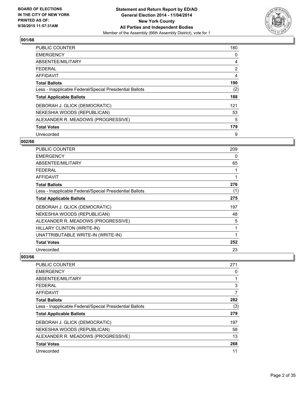

| PUBLIC COUNTER                                           | 180            |
|----------------------------------------------------------|----------------|
| <b>EMERGENCY</b>                                         | 0              |
| ABSENTEE/MILITARY                                        | 4              |
| <b>FEDERAL</b>                                           | $\overline{2}$ |
| <b>AFFIDAVIT</b>                                         | 4              |
| <b>Total Ballots</b>                                     | 190            |
| Less - Inapplicable Federal/Special Presidential Ballots | (2)            |
| <b>Total Applicable Ballots</b>                          | 188            |
| DEBORAH J. GLICK (DEMOCRATIC)                            | 121            |
| NEKESHIA WOODS (REPUBLICAN)                              | 53             |
| ALEXANDER R. MEADOWS (PROGRESSIVE)                       | 5              |
| <b>Total Votes</b>                                       | 179            |
| Unrecorded                                               | 9              |

#### **002/66**

| <b>PUBLIC COUNTER</b>                                    | 209 |
|----------------------------------------------------------|-----|
| <b>EMERGENCY</b>                                         | 0   |
| ABSENTEE/MILITARY                                        | 65  |
| <b>FEDERAL</b>                                           | 1   |
| <b>AFFIDAVIT</b>                                         | 1   |
| <b>Total Ballots</b>                                     | 276 |
| Less - Inapplicable Federal/Special Presidential Ballots | (1) |
| <b>Total Applicable Ballots</b>                          | 275 |
| DEBORAH J. GLICK (DEMOCRATIC)                            | 197 |
| NEKESHIA WOODS (REPUBLICAN)                              | 48  |
| ALEXANDER R. MEADOWS (PROGRESSIVE)                       | 5   |
| HILLARY CLINTON (WRITE-IN)                               | 1   |
| UNATTRIBUTABLE WRITE-IN (WRITE-IN)                       | 1   |
| <b>Total Votes</b>                                       | 252 |
| Unrecorded                                               | 23  |

| <b>PUBLIC COUNTER</b>                                    | 271 |
|----------------------------------------------------------|-----|
| <b>EMERGENCY</b>                                         | 0   |
| ABSENTEE/MILITARY                                        |     |
| <b>FEDERAL</b>                                           | 3   |
| AFFIDAVIT                                                | 7   |
| <b>Total Ballots</b>                                     | 282 |
| Less - Inapplicable Federal/Special Presidential Ballots | (3) |
| <b>Total Applicable Ballots</b>                          | 279 |
| DEBORAH J. GLICK (DEMOCRATIC)                            | 197 |
| NEKESHIA WOODS (REPUBLICAN)                              | 58  |
| ALEXANDER R. MEADOWS (PROGRESSIVE)                       | 13  |
| <b>Total Votes</b>                                       | 268 |
| Unrecorded                                               | 11  |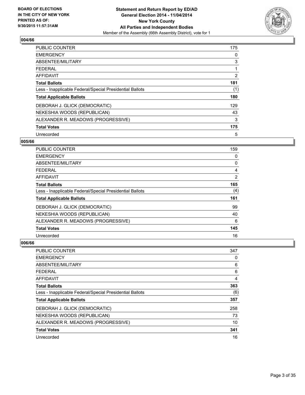

| PUBLIC COUNTER                                           | 175 |
|----------------------------------------------------------|-----|
| <b>EMERGENCY</b>                                         | 0   |
| ABSENTEE/MILITARY                                        | 3   |
| <b>FEDERAL</b>                                           |     |
| <b>AFFIDAVIT</b>                                         | 2   |
| <b>Total Ballots</b>                                     | 181 |
| Less - Inapplicable Federal/Special Presidential Ballots | (1) |
| <b>Total Applicable Ballots</b>                          | 180 |
| DEBORAH J. GLICK (DEMOCRATIC)                            | 129 |
| NEKESHIA WOODS (REPUBLICAN)                              | 43  |
| ALEXANDER R. MEADOWS (PROGRESSIVE)                       | 3   |
| <b>Total Votes</b>                                       | 175 |
| Unrecorded                                               | 5   |

#### **005/66**

| PUBLIC COUNTER                                           | 159 |
|----------------------------------------------------------|-----|
| <b>EMERGENCY</b>                                         | 0   |
| ABSENTEE/MILITARY                                        | 0   |
| <b>FEDERAL</b>                                           | 4   |
| <b>AFFIDAVIT</b>                                         | 2   |
| <b>Total Ballots</b>                                     | 165 |
| Less - Inapplicable Federal/Special Presidential Ballots | (4) |
| <b>Total Applicable Ballots</b>                          | 161 |
| DEBORAH J. GLICK (DEMOCRATIC)                            | 99  |
| NEKESHIA WOODS (REPUBLICAN)                              | 40  |
| ALEXANDER R. MEADOWS (PROGRESSIVE)                       | 6   |
| <b>Total Votes</b>                                       | 145 |
| Unrecorded                                               | 16  |

| PUBLIC COUNTER                                           | 347 |
|----------------------------------------------------------|-----|
| <b>EMERGENCY</b>                                         | 0   |
| ABSENTEE/MILITARY                                        | 6   |
| <b>FEDERAL</b>                                           | 6   |
| AFFIDAVIT                                                | 4   |
| <b>Total Ballots</b>                                     | 363 |
| Less - Inapplicable Federal/Special Presidential Ballots | (6) |
| <b>Total Applicable Ballots</b>                          | 357 |
| DEBORAH J. GLICK (DEMOCRATIC)                            | 258 |
| NEKESHIA WOODS (REPUBLICAN)                              | 73  |
| ALEXANDER R. MEADOWS (PROGRESSIVE)                       | 10  |
| <b>Total Votes</b>                                       | 341 |
| Unrecorded                                               | 16  |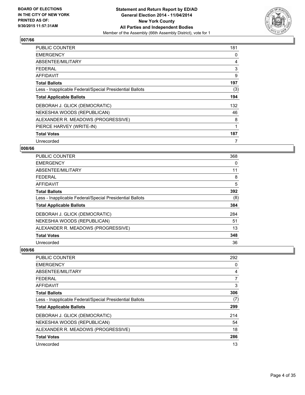

| <b>PUBLIC COUNTER</b>                                    | 181 |
|----------------------------------------------------------|-----|
| <b>EMERGENCY</b>                                         | 0   |
| ABSENTEE/MILITARY                                        | 4   |
| <b>FEDERAL</b>                                           | 3   |
| AFFIDAVIT                                                | 9   |
| <b>Total Ballots</b>                                     | 197 |
| Less - Inapplicable Federal/Special Presidential Ballots | (3) |
| <b>Total Applicable Ballots</b>                          | 194 |
| DEBORAH J. GLICK (DEMOCRATIC)                            | 132 |
| NEKESHIA WOODS (REPUBLICAN)                              | 46  |
| ALEXANDER R. MEADOWS (PROGRESSIVE)                       | 8   |
| PIERCE HARVEY (WRITE-IN)                                 | 1   |
| <b>Total Votes</b>                                       | 187 |
| Unrecorded                                               | 7   |

## **008/66**

| <b>PUBLIC COUNTER</b>                                    | 368 |
|----------------------------------------------------------|-----|
| <b>EMERGENCY</b>                                         | 0   |
| ABSENTEE/MILITARY                                        | 11  |
| <b>FEDERAL</b>                                           | 8   |
| AFFIDAVIT                                                | 5   |
| <b>Total Ballots</b>                                     | 392 |
| Less - Inapplicable Federal/Special Presidential Ballots | (8) |
| <b>Total Applicable Ballots</b>                          | 384 |
| DEBORAH J. GLICK (DEMOCRATIC)                            | 284 |
| NEKESHIA WOODS (REPUBLICAN)                              | 51  |
| ALEXANDER R. MEADOWS (PROGRESSIVE)                       | 13  |
| <b>Total Votes</b>                                       | 348 |
| Unrecorded                                               | 36  |

| <b>PUBLIC COUNTER</b>                                    | 292            |
|----------------------------------------------------------|----------------|
| <b>EMERGENCY</b>                                         | 0              |
| ABSENTEE/MILITARY                                        | 4              |
| <b>FEDERAL</b>                                           | $\overline{7}$ |
| AFFIDAVIT                                                | 3              |
| <b>Total Ballots</b>                                     | 306            |
| Less - Inapplicable Federal/Special Presidential Ballots | (7)            |
| <b>Total Applicable Ballots</b>                          | 299            |
| DEBORAH J. GLICK (DEMOCRATIC)                            | 214            |
| NEKESHIA WOODS (REPUBLICAN)                              | 54             |
| ALEXANDER R. MEADOWS (PROGRESSIVE)                       | 18             |
| <b>Total Votes</b>                                       | 286            |
| Unrecorded                                               | 13             |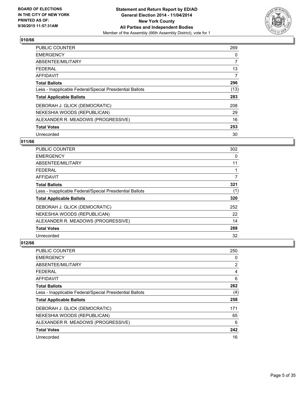

| PUBLIC COUNTER                                           | 269            |
|----------------------------------------------------------|----------------|
| <b>EMERGENCY</b>                                         | 0              |
| ABSENTEE/MILITARY                                        | 7              |
| <b>FEDERAL</b>                                           | 13             |
| <b>AFFIDAVIT</b>                                         | $\overline{7}$ |
| <b>Total Ballots</b>                                     | 296            |
| Less - Inapplicable Federal/Special Presidential Ballots | (13)           |
| <b>Total Applicable Ballots</b>                          | 283            |
| DEBORAH J. GLICK (DEMOCRATIC)                            | 208            |
| NEKESHIA WOODS (REPUBLICAN)                              | 29             |
| ALEXANDER R. MEADOWS (PROGRESSIVE)                       | 16             |
| <b>Total Votes</b>                                       | 253            |
| Unrecorded                                               | 30             |

## **011/66**

| <b>PUBLIC COUNTER</b>                                    | 302 |
|----------------------------------------------------------|-----|
| <b>EMERGENCY</b>                                         | 0   |
| ABSENTEE/MILITARY                                        | 11  |
| FFDFRAI                                                  |     |
| AFFIDAVIT                                                | 7   |
| <b>Total Ballots</b>                                     | 321 |
| Less - Inapplicable Federal/Special Presidential Ballots | (1) |
| <b>Total Applicable Ballots</b>                          | 320 |
| DEBORAH J. GLICK (DEMOCRATIC)                            | 252 |
| NEKESHIA WOODS (REPUBLICAN)                              | 22  |
| ALEXANDER R. MEADOWS (PROGRESSIVE)                       | 14  |
| <b>Total Votes</b>                                       | 288 |
| Unrecorded                                               | 32  |

| PUBLIC COUNTER                                           | 250 |
|----------------------------------------------------------|-----|
| <b>EMERGENCY</b>                                         | 0   |
| ABSENTEE/MILITARY                                        | 2   |
| <b>FEDERAL</b>                                           | 4   |
| <b>AFFIDAVIT</b>                                         | 6   |
| <b>Total Ballots</b>                                     | 262 |
| Less - Inapplicable Federal/Special Presidential Ballots | (4) |
| <b>Total Applicable Ballots</b>                          | 258 |
| DEBORAH J. GLICK (DEMOCRATIC)                            | 171 |
| NEKESHIA WOODS (REPUBLICAN)                              | 65  |
| ALEXANDER R. MEADOWS (PROGRESSIVE)                       | 6   |
| <b>Total Votes</b>                                       | 242 |
| Unrecorded                                               | 16  |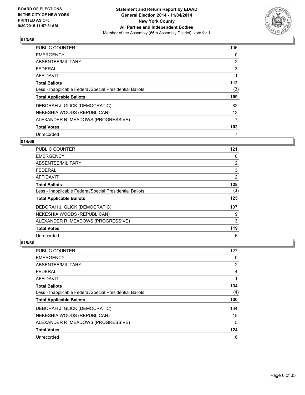

| <b>PUBLIC COUNTER</b>                                    | 106              |
|----------------------------------------------------------|------------------|
| <b>EMERGENCY</b>                                         | 0                |
| ABSENTEE/MILITARY                                        | $\overline{2}$   |
| <b>FEDERAL</b>                                           | 3                |
| AFFIDAVIT                                                |                  |
| <b>Total Ballots</b>                                     | 112              |
| Less - Inapplicable Federal/Special Presidential Ballots | (3)              |
| <b>Total Applicable Ballots</b>                          | 109              |
| DEBORAH J. GLICK (DEMOCRATIC)                            | 82               |
| NEKESHIA WOODS (REPUBLICAN)                              | 13               |
| ALEXANDER R. MEADOWS (PROGRESSIVE)                       | 7                |
| <b>Total Votes</b>                                       | 102 <sub>2</sub> |
| Unrecorded                                               | 7                |

## **014/66**

| <b>PUBLIC COUNTER</b>                                    | 121            |
|----------------------------------------------------------|----------------|
| <b>EMERGENCY</b>                                         | 0              |
| ABSENTEE/MILITARY                                        | $\overline{2}$ |
| <b>FEDERAL</b>                                           | 3              |
| AFFIDAVIT                                                | $\overline{2}$ |
| <b>Total Ballots</b>                                     | 128            |
| Less - Inapplicable Federal/Special Presidential Ballots | (3)            |
| <b>Total Applicable Ballots</b>                          | 125            |
| DEBORAH J. GLICK (DEMOCRATIC)                            | 107            |
| NEKESHIA WOODS (REPUBLICAN)                              | 9              |
| ALEXANDER R. MEADOWS (PROGRESSIVE)                       | 3              |
| <b>Total Votes</b>                                       | 119            |
| Unrecorded                                               | 6              |

| <b>PUBLIC COUNTER</b>                                    | 127 |
|----------------------------------------------------------|-----|
| <b>EMERGENCY</b>                                         | 0   |
| ABSENTEE/MILITARY                                        | 2   |
| <b>FEDERAL</b>                                           | 4   |
| <b>AFFIDAVIT</b>                                         |     |
| <b>Total Ballots</b>                                     | 134 |
| Less - Inapplicable Federal/Special Presidential Ballots | (4) |
| <b>Total Applicable Ballots</b>                          | 130 |
| DEBORAH J. GLICK (DEMOCRATIC)                            | 104 |
| NEKESHIA WOODS (REPUBLICAN)                              | 15  |
| ALEXANDER R. MEADOWS (PROGRESSIVE)                       | 5   |
| <b>Total Votes</b>                                       | 124 |
| Unrecorded                                               | 6   |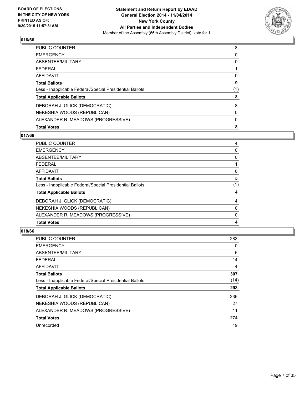

| PUBLIC COUNTER                                           | 8   |
|----------------------------------------------------------|-----|
| <b>EMERGENCY</b>                                         | 0   |
| ABSENTEE/MILITARY                                        | 0   |
| <b>FEDERAL</b>                                           |     |
| AFFIDAVIT                                                | 0   |
| <b>Total Ballots</b>                                     | 9   |
| Less - Inapplicable Federal/Special Presidential Ballots | (1) |
| <b>Total Applicable Ballots</b>                          | 8   |
| DEBORAH J. GLICK (DEMOCRATIC)                            | 8   |
| NEKESHIA WOODS (REPUBLICAN)                              | 0   |
| ALEXANDER R. MEADOWS (PROGRESSIVE)                       | 0   |
| <b>Total Votes</b>                                       | 8   |

## **017/66**

| <b>PUBLIC COUNTER</b>                                    | 4   |
|----------------------------------------------------------|-----|
| <b>EMERGENCY</b>                                         | 0   |
| ABSENTEE/MILITARY                                        | 0   |
| <b>FEDERAL</b>                                           |     |
| <b>AFFIDAVIT</b>                                         | 0   |
| <b>Total Ballots</b>                                     | 5   |
| Less - Inapplicable Federal/Special Presidential Ballots | (1) |
| <b>Total Applicable Ballots</b>                          | 4   |
| DEBORAH J. GLICK (DEMOCRATIC)                            | 4   |
| NEKESHIA WOODS (REPUBLICAN)                              | 0   |
| ALEXANDER R. MEADOWS (PROGRESSIVE)                       | 0   |
| <b>Total Votes</b>                                       | 4   |

| <b>PUBLIC COUNTER</b>                                    | 283  |
|----------------------------------------------------------|------|
| <b>EMERGENCY</b>                                         | 0    |
| ABSENTEE/MILITARY                                        | 6    |
| FEDERAL                                                  | 14   |
| AFFIDAVIT                                                | 4    |
| <b>Total Ballots</b>                                     | 307  |
| Less - Inapplicable Federal/Special Presidential Ballots | (14) |
| <b>Total Applicable Ballots</b>                          | 293  |
| DEBORAH J. GLICK (DEMOCRATIC)                            | 236  |
| NEKESHIA WOODS (REPUBLICAN)                              | 27   |
| ALEXANDER R. MEADOWS (PROGRESSIVE)                       | 11   |
| <b>Total Votes</b>                                       | 274  |
| Unrecorded                                               | 19   |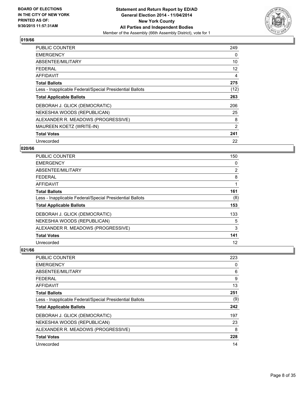

| <b>PUBLIC COUNTER</b>                                    | 249               |
|----------------------------------------------------------|-------------------|
| <b>EMERGENCY</b>                                         | 0                 |
| ABSENTEE/MILITARY                                        | 10                |
| <b>FEDERAL</b>                                           | $12 \overline{ }$ |
| AFFIDAVIT                                                | 4                 |
| <b>Total Ballots</b>                                     | 275               |
| Less - Inapplicable Federal/Special Presidential Ballots | (12)              |
| <b>Total Applicable Ballots</b>                          | 263               |
| DEBORAH J. GLICK (DEMOCRATIC)                            | 206               |
| NEKESHIA WOODS (REPUBLICAN)                              | 25                |
| ALEXANDER R. MEADOWS (PROGRESSIVE)                       | 8                 |
| MAUREEN KOETZ (WRITE-IN)                                 | 2                 |
| <b>Total Votes</b>                                       | 241               |
| Unrecorded                                               | 22                |

## **020/66**

| PUBLIC COUNTER                                           | 150 |
|----------------------------------------------------------|-----|
| <b>EMERGENCY</b>                                         | 0   |
| ABSENTEE/MILITARY                                        | 2   |
| <b>FEDERAL</b>                                           | 8   |
| AFFIDAVIT                                                | 1   |
| <b>Total Ballots</b>                                     | 161 |
| Less - Inapplicable Federal/Special Presidential Ballots | (8) |
| <b>Total Applicable Ballots</b>                          | 153 |
| DEBORAH J. GLICK (DEMOCRATIC)                            | 133 |
| NEKESHIA WOODS (REPUBLICAN)                              | 5   |
| ALEXANDER R. MEADOWS (PROGRESSIVE)                       | 3   |
| <b>Total Votes</b>                                       | 141 |
| Unrecorded                                               | 12  |

| PUBLIC COUNTER                                           | 223 |
|----------------------------------------------------------|-----|
| <b>EMERGENCY</b>                                         | 0   |
| ABSENTEE/MILITARY                                        | 6   |
| <b>FEDERAL</b>                                           | 9   |
| AFFIDAVIT                                                | 13  |
| <b>Total Ballots</b>                                     | 251 |
| Less - Inapplicable Federal/Special Presidential Ballots | (9) |
| <b>Total Applicable Ballots</b>                          | 242 |
| DEBORAH J. GLICK (DEMOCRATIC)                            | 197 |
| NEKESHIA WOODS (REPUBLICAN)                              | 23  |
| ALEXANDER R. MEADOWS (PROGRESSIVE)                       | 8   |
| <b>Total Votes</b>                                       | 228 |
| Unrecorded                                               | 14  |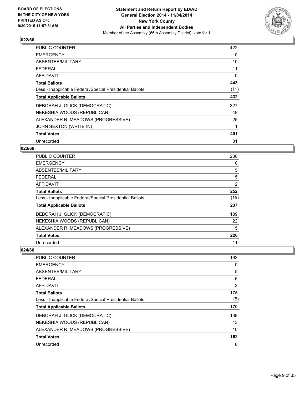

| <b>PUBLIC COUNTER</b>                                    | 422  |
|----------------------------------------------------------|------|
| <b>EMERGENCY</b>                                         | 0    |
| ABSENTEE/MILITARY                                        | 10   |
| <b>FEDERAL</b>                                           | 11   |
| AFFIDAVIT                                                | 0    |
| <b>Total Ballots</b>                                     | 443  |
| Less - Inapplicable Federal/Special Presidential Ballots | (11) |
| <b>Total Applicable Ballots</b>                          | 432  |
| DEBORAH J. GLICK (DEMOCRATIC)                            | 327  |
| NEKESHIA WOODS (REPUBLICAN)                              | 48   |
| ALEXANDER R. MEADOWS (PROGRESSIVE)                       | 25   |
| JOHN SEXTON (WRITE-IN)                                   |      |
| <b>Total Votes</b>                                       | 401  |
| Unrecorded                                               | 31   |

#### **023/66**

| PUBLIC COUNTER                                           | 230  |
|----------------------------------------------------------|------|
| <b>EMERGENCY</b>                                         | 0    |
| ABSENTEE/MILITARY                                        | 5    |
| <b>FEDERAL</b>                                           | 15   |
| AFFIDAVIT                                                | 2    |
| <b>Total Ballots</b>                                     | 252  |
| Less - Inapplicable Federal/Special Presidential Ballots | (15) |
| <b>Total Applicable Ballots</b>                          | 237  |
| DEBORAH J. GLICK (DEMOCRATIC)                            | 189  |
| NEKESHIA WOODS (REPUBLICAN)                              | 22   |
| ALEXANDER R. MEADOWS (PROGRESSIVE)                       | 15   |
| <b>Total Votes</b>                                       | 226  |
| Unrecorded                                               | 11   |

| <b>PUBLIC COUNTER</b>                                    | 163            |
|----------------------------------------------------------|----------------|
| <b>EMERGENCY</b>                                         | 0              |
| ABSENTEE/MILITARY                                        | 5              |
| <b>FEDERAL</b>                                           | 5              |
| AFFIDAVIT                                                | $\overline{2}$ |
| <b>Total Ballots</b>                                     | 175            |
| Less - Inapplicable Federal/Special Presidential Ballots | (5)            |
| <b>Total Applicable Ballots</b>                          | 170            |
| DEBORAH J. GLICK (DEMOCRATIC)                            | 139            |
| NEKESHIA WOODS (REPUBLICAN)                              | 13             |
| ALEXANDER R. MEADOWS (PROGRESSIVE)                       | 10             |
| <b>Total Votes</b>                                       | 162            |
| Unrecorded                                               | 8              |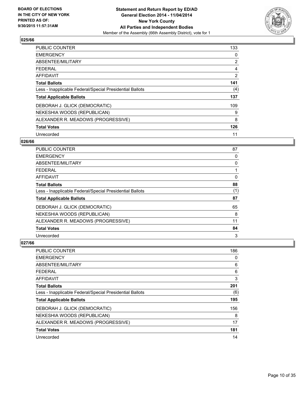

| <b>PUBLIC COUNTER</b>                                    | 133            |
|----------------------------------------------------------|----------------|
| <b>EMERGENCY</b>                                         | 0              |
| ABSENTEE/MILITARY                                        | $\overline{2}$ |
| <b>FEDERAL</b>                                           | 4              |
| AFFIDAVIT                                                | 2              |
| <b>Total Ballots</b>                                     | 141            |
| Less - Inapplicable Federal/Special Presidential Ballots | (4)            |
| <b>Total Applicable Ballots</b>                          | 137            |
| DEBORAH J. GLICK (DEMOCRATIC)                            | 109            |
| NEKESHIA WOODS (REPUBLICAN)                              | 9              |
| ALEXANDER R. MEADOWS (PROGRESSIVE)                       | 8              |
| <b>Total Votes</b>                                       | 126            |
| Unrecorded                                               | 11             |

#### **026/66**

| PUBLIC COUNTER                                           | 87  |
|----------------------------------------------------------|-----|
| <b>EMERGENCY</b>                                         | 0   |
| ABSENTEE/MILITARY                                        | 0   |
| <b>FEDERAL</b>                                           |     |
| <b>AFFIDAVIT</b>                                         | 0   |
| <b>Total Ballots</b>                                     | 88  |
| Less - Inapplicable Federal/Special Presidential Ballots | (1) |
| <b>Total Applicable Ballots</b>                          | 87  |
| DEBORAH J. GLICK (DEMOCRATIC)                            | 65  |
| NEKESHIA WOODS (REPUBLICAN)                              | 8   |
| ALEXANDER R. MEADOWS (PROGRESSIVE)                       | 11  |
| <b>Total Votes</b>                                       | 84  |
| Unrecorded                                               | 3   |

| PUBLIC COUNTER                                           | 186 |
|----------------------------------------------------------|-----|
| <b>EMERGENCY</b>                                         | 0   |
| ABSENTEE/MILITARY                                        | 6   |
| <b>FEDERAL</b>                                           | 6   |
| AFFIDAVIT                                                | 3   |
| <b>Total Ballots</b>                                     | 201 |
| Less - Inapplicable Federal/Special Presidential Ballots | (6) |
| <b>Total Applicable Ballots</b>                          | 195 |
| DEBORAH J. GLICK (DEMOCRATIC)                            | 156 |
| NEKESHIA WOODS (REPUBLICAN)                              | 8   |
| ALEXANDER R. MEADOWS (PROGRESSIVE)                       | 17  |
| <b>Total Votes</b>                                       | 181 |
| Unrecorded                                               | 14  |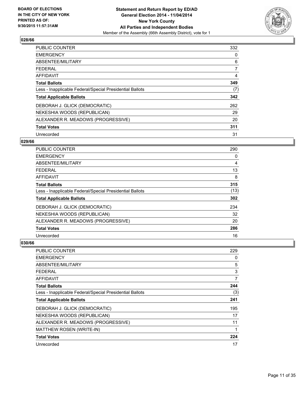

| <b>PUBLIC COUNTER</b>                                    | 332 |
|----------------------------------------------------------|-----|
| <b>EMERGENCY</b>                                         | 0   |
| ABSENTEE/MILITARY                                        | 6   |
| <b>FEDERAL</b>                                           | 7   |
| AFFIDAVIT                                                | 4   |
| <b>Total Ballots</b>                                     | 349 |
| Less - Inapplicable Federal/Special Presidential Ballots | (7) |
| <b>Total Applicable Ballots</b>                          | 342 |
| DEBORAH J. GLICK (DEMOCRATIC)                            | 262 |
| NEKESHIA WOODS (REPUBLICAN)                              | 29  |
| ALEXANDER R. MEADOWS (PROGRESSIVE)                       | 20  |
| <b>Total Votes</b>                                       | 311 |
| Unrecorded                                               | 31  |

#### **029/66**

| <b>PUBLIC COUNTER</b>                                    | 290  |
|----------------------------------------------------------|------|
| <b>EMERGENCY</b>                                         | 0    |
| ABSENTEE/MILITARY                                        | 4    |
| <b>FEDERAL</b>                                           | 13   |
| <b>AFFIDAVIT</b>                                         | 8    |
| <b>Total Ballots</b>                                     | 315  |
| Less - Inapplicable Federal/Special Presidential Ballots | (13) |
| <b>Total Applicable Ballots</b>                          | 302  |
| DEBORAH J. GLICK (DEMOCRATIC)                            | 234  |
| NEKESHIA WOODS (REPUBLICAN)                              | 32   |
| ALEXANDER R. MEADOWS (PROGRESSIVE)                       | 20   |
| <b>Total Votes</b>                                       | 286  |
| Unrecorded                                               | 16   |

| PUBLIC COUNTER                                           | 229 |
|----------------------------------------------------------|-----|
| <b>EMERGENCY</b>                                         | 0   |
| ABSENTEE/MILITARY                                        | 5   |
| <b>FEDERAL</b>                                           | 3   |
| AFFIDAVIT                                                | 7   |
| <b>Total Ballots</b>                                     | 244 |
| Less - Inapplicable Federal/Special Presidential Ballots | (3) |
| <b>Total Applicable Ballots</b>                          | 241 |
| DEBORAH J. GLICK (DEMOCRATIC)                            | 195 |
| NEKESHIA WOODS (REPUBLICAN)                              | 17  |
| ALEXANDER R. MEADOWS (PROGRESSIVE)                       | 11  |
| MATTHEW ROSEN (WRITE-IN)                                 | 1   |
| <b>Total Votes</b>                                       | 224 |
| Unrecorded                                               | 17  |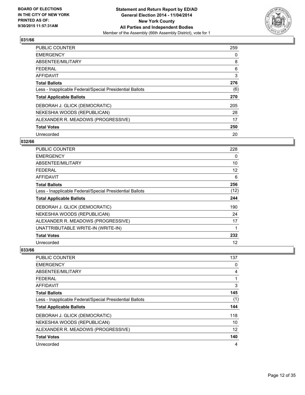

| <b>PUBLIC COUNTER</b>                                    | 259 |
|----------------------------------------------------------|-----|
| <b>EMERGENCY</b>                                         | 0   |
| ABSENTEE/MILITARY                                        | 8   |
| <b>FEDERAL</b>                                           | 6   |
| AFFIDAVIT                                                | 3   |
| <b>Total Ballots</b>                                     | 276 |
| Less - Inapplicable Federal/Special Presidential Ballots | (6) |
| <b>Total Applicable Ballots</b>                          | 270 |
| DEBORAH J. GLICK (DEMOCRATIC)                            | 205 |
| NEKESHIA WOODS (REPUBLICAN)                              | 28  |
| ALEXANDER R. MEADOWS (PROGRESSIVE)                       | 17  |
| <b>Total Votes</b>                                       | 250 |
| Unrecorded                                               | 20  |

## **032/66**

| PUBLIC COUNTER                                           | 228  |
|----------------------------------------------------------|------|
| <b>EMERGENCY</b>                                         | 0    |
| ABSENTEE/MILITARY                                        | 10   |
| <b>FEDERAL</b>                                           | 12   |
| AFFIDAVIT                                                | 6    |
| <b>Total Ballots</b>                                     | 256  |
| Less - Inapplicable Federal/Special Presidential Ballots | (12) |
| <b>Total Applicable Ballots</b>                          | 244  |
| DEBORAH J. GLICK (DEMOCRATIC)                            | 190  |
| NEKESHIA WOODS (REPUBLICAN)                              | 24   |
| ALEXANDER R. MEADOWS (PROGRESSIVE)                       | 17   |
| UNATTRIBUTABLE WRITE-IN (WRITE-IN)                       | 1    |
| <b>Total Votes</b>                                       | 232  |
| Unrecorded                                               | 12   |

| <b>PUBLIC COUNTER</b>                                    | 137 |
|----------------------------------------------------------|-----|
| <b>EMERGENCY</b>                                         | 0   |
| ABSENTEE/MILITARY                                        | 4   |
| <b>FEDERAL</b>                                           | 1   |
| AFFIDAVIT                                                | 3   |
| <b>Total Ballots</b>                                     | 145 |
| Less - Inapplicable Federal/Special Presidential Ballots | (1) |
| <b>Total Applicable Ballots</b>                          | 144 |
| DEBORAH J. GLICK (DEMOCRATIC)                            | 118 |
| NEKESHIA WOODS (REPUBLICAN)                              | 10  |
| ALEXANDER R. MEADOWS (PROGRESSIVE)                       | 12  |
| <b>Total Votes</b>                                       | 140 |
| Unrecorded                                               | 4   |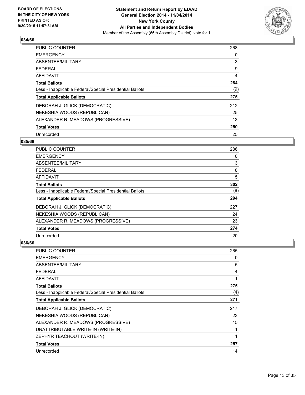

| <b>PUBLIC COUNTER</b>                                    | 268 |
|----------------------------------------------------------|-----|
| <b>EMERGENCY</b>                                         | 0   |
| ABSENTEE/MILITARY                                        | 3   |
| <b>FEDERAL</b>                                           | 9   |
| AFFIDAVIT                                                | 4   |
| <b>Total Ballots</b>                                     | 284 |
| Less - Inapplicable Federal/Special Presidential Ballots | (9) |
| <b>Total Applicable Ballots</b>                          | 275 |
| DEBORAH J. GLICK (DEMOCRATIC)                            | 212 |
| NEKESHIA WOODS (REPUBLICAN)                              | 25  |
| ALEXANDER R. MEADOWS (PROGRESSIVE)                       | 13  |
| <b>Total Votes</b>                                       | 250 |
| Unrecorded                                               | 25  |

## **035/66**

| PUBLIC COUNTER                                           | 286 |
|----------------------------------------------------------|-----|
| <b>EMERGENCY</b>                                         | 0   |
| ABSENTEE/MILITARY                                        | 3   |
| <b>FEDERAL</b>                                           | 8   |
| <b>AFFIDAVIT</b>                                         | 5   |
| <b>Total Ballots</b>                                     | 302 |
| Less - Inapplicable Federal/Special Presidential Ballots | (8) |
| <b>Total Applicable Ballots</b>                          | 294 |
| DEBORAH J. GLICK (DEMOCRATIC)                            | 227 |
| NEKESHIA WOODS (REPUBLICAN)                              | 24  |
| ALEXANDER R. MEADOWS (PROGRESSIVE)                       | 23  |
| <b>Total Votes</b>                                       | 274 |
| Unrecorded                                               | 20  |

| PUBLIC COUNTER                                           | 265 |
|----------------------------------------------------------|-----|
| <b>EMERGENCY</b>                                         | 0   |
| ABSENTEE/MILITARY                                        | 5   |
| <b>FEDERAL</b>                                           | 4   |
| <b>AFFIDAVIT</b>                                         | 1   |
| <b>Total Ballots</b>                                     | 275 |
| Less - Inapplicable Federal/Special Presidential Ballots | (4) |
| <b>Total Applicable Ballots</b>                          | 271 |
| DEBORAH J. GLICK (DEMOCRATIC)                            | 217 |
| NEKESHIA WOODS (REPUBLICAN)                              | 23  |
| ALEXANDER R. MEADOWS (PROGRESSIVE)                       | 15  |
| UNATTRIBUTABLE WRITE-IN (WRITE-IN)                       | 1   |
| ZEPHYR TEACHOUT (WRITE-IN)                               | 1   |
| <b>Total Votes</b>                                       | 257 |
| Unrecorded                                               | 14  |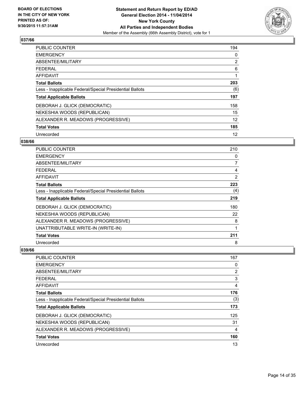

| <b>PUBLIC COUNTER</b>                                    | 194            |
|----------------------------------------------------------|----------------|
| <b>EMERGENCY</b>                                         | 0              |
| ABSENTEE/MILITARY                                        | $\overline{2}$ |
| <b>FEDERAL</b>                                           | 6              |
| AFFIDAVIT                                                |                |
| <b>Total Ballots</b>                                     | 203            |
| Less - Inapplicable Federal/Special Presidential Ballots | (6)            |
| <b>Total Applicable Ballots</b>                          | 197            |
| DEBORAH J. GLICK (DEMOCRATIC)                            | 158            |
| NEKESHIA WOODS (REPUBLICAN)                              | 15             |
| ALEXANDER R. MEADOWS (PROGRESSIVE)                       | 12             |
| <b>Total Votes</b>                                       | 185            |
| Unrecorded                                               | 12             |

#### **038/66**

| PUBLIC COUNTER                                           | 210 |
|----------------------------------------------------------|-----|
| <b>EMERGENCY</b>                                         | 0   |
| ABSENTEE/MILITARY                                        | 7   |
| <b>FEDERAL</b>                                           | 4   |
| AFFIDAVIT                                                | 2   |
| <b>Total Ballots</b>                                     | 223 |
| Less - Inapplicable Federal/Special Presidential Ballots | (4) |
| <b>Total Applicable Ballots</b>                          | 219 |
| DEBORAH J. GLICK (DEMOCRATIC)                            | 180 |
| NEKESHIA WOODS (REPUBLICAN)                              | 22  |
| ALEXANDER R. MEADOWS (PROGRESSIVE)                       | 8   |
| UNATTRIBUTABLE WRITE-IN (WRITE-IN)                       | 1   |
| <b>Total Votes</b>                                       | 211 |
| Unrecorded                                               | 8   |

| <b>PUBLIC COUNTER</b>                                    | 167            |
|----------------------------------------------------------|----------------|
| <b>EMERGENCY</b>                                         | 0              |
| ABSENTEE/MILITARY                                        | 2              |
| <b>FEDERAL</b>                                           | 3              |
| AFFIDAVIT                                                | $\overline{4}$ |
| <b>Total Ballots</b>                                     | 176            |
| Less - Inapplicable Federal/Special Presidential Ballots | (3)            |
| <b>Total Applicable Ballots</b>                          | 173            |
| DEBORAH J. GLICK (DEMOCRATIC)                            | 125            |
| NEKESHIA WOODS (REPUBLICAN)                              | 31             |
| ALEXANDER R. MEADOWS (PROGRESSIVE)                       | 4              |
| <b>Total Votes</b>                                       | 160            |
| Unrecorded                                               | 13             |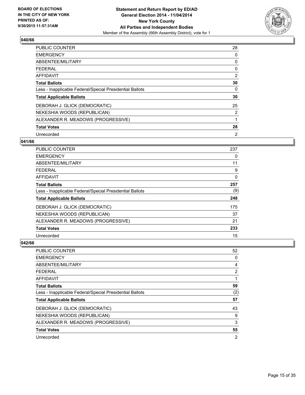

| <b>PUBLIC COUNTER</b>                                    | 28 |
|----------------------------------------------------------|----|
| <b>EMERGENCY</b>                                         | 0  |
| ABSENTEE/MILITARY                                        | 0  |
| <b>FEDERAL</b>                                           | 0  |
| <b>AFFIDAVIT</b>                                         | 2  |
| <b>Total Ballots</b>                                     | 30 |
| Less - Inapplicable Federal/Special Presidential Ballots | 0  |
| <b>Total Applicable Ballots</b>                          | 30 |
| DEBORAH J. GLICK (DEMOCRATIC)                            | 25 |
| NEKESHIA WOODS (REPUBLICAN)                              | 2  |
| ALEXANDER R. MEADOWS (PROGRESSIVE)                       | 1  |
| <b>Total Votes</b>                                       | 28 |
| Unrecorded                                               | 2  |

#### **041/66**

| PUBLIC COUNTER                                           | 237 |
|----------------------------------------------------------|-----|
| <b>EMERGENCY</b>                                         | 0   |
| ABSENTEE/MILITARY                                        | 11  |
| <b>FEDERAL</b>                                           | 9   |
| <b>AFFIDAVIT</b>                                         | 0   |
| <b>Total Ballots</b>                                     | 257 |
| Less - Inapplicable Federal/Special Presidential Ballots | (9) |
| <b>Total Applicable Ballots</b>                          | 248 |
| DEBORAH J. GLICK (DEMOCRATIC)                            | 175 |
| NEKESHIA WOODS (REPUBLICAN)                              | 37  |
| ALEXANDER R. MEADOWS (PROGRESSIVE)                       | 21  |
| <b>Total Votes</b>                                       | 233 |
| Unrecorded                                               | 15  |

| <b>PUBLIC COUNTER</b>                                    | 52  |
|----------------------------------------------------------|-----|
| <b>EMERGENCY</b>                                         | 0   |
| ABSENTEE/MILITARY                                        | 4   |
| FEDERAL                                                  | 2   |
| <b>AFFIDAVIT</b>                                         |     |
| <b>Total Ballots</b>                                     | 59  |
| Less - Inapplicable Federal/Special Presidential Ballots | (2) |
| <b>Total Applicable Ballots</b>                          | 57  |
| DEBORAH J. GLICK (DEMOCRATIC)                            | 43  |
| NEKESHIA WOODS (REPUBLICAN)                              | 9   |
| ALEXANDER R. MEADOWS (PROGRESSIVE)                       | 3   |
| <b>Total Votes</b>                                       | 55  |
| Unrecorded                                               | 2   |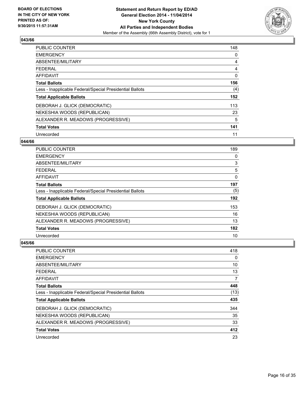

| <b>PUBLIC COUNTER</b>                                    | 148      |
|----------------------------------------------------------|----------|
| <b>EMERGENCY</b>                                         | 0        |
| ABSENTEE/MILITARY                                        | 4        |
| <b>FEDERAL</b>                                           | 4        |
| AFFIDAVIT                                                | $\Omega$ |
| <b>Total Ballots</b>                                     | 156      |
| Less - Inapplicable Federal/Special Presidential Ballots | (4)      |
| <b>Total Applicable Ballots</b>                          | 152      |
| DEBORAH J. GLICK (DEMOCRATIC)                            | 113      |
| NEKESHIA WOODS (REPUBLICAN)                              | 23       |
| ALEXANDER R. MEADOWS (PROGRESSIVE)                       | 5        |
| <b>Total Votes</b>                                       | 141      |
| Unrecorded                                               | 11       |

#### **044/66**

| PUBLIC COUNTER                                           | 189 |
|----------------------------------------------------------|-----|
| <b>EMERGENCY</b>                                         | 0   |
| ABSENTEE/MILITARY                                        | 3   |
| <b>FEDERAL</b>                                           | 5   |
| <b>AFFIDAVIT</b>                                         | 0   |
| <b>Total Ballots</b>                                     | 197 |
| Less - Inapplicable Federal/Special Presidential Ballots | (5) |
| <b>Total Applicable Ballots</b>                          | 192 |
| DEBORAH J. GLICK (DEMOCRATIC)                            | 153 |
| NEKESHIA WOODS (REPUBLICAN)                              | 16  |
| ALEXANDER R. MEADOWS (PROGRESSIVE)                       | 13  |
| <b>Total Votes</b>                                       | 182 |
| Unrecorded                                               | 10  |

| <b>PUBLIC COUNTER</b>                                    | 418  |
|----------------------------------------------------------|------|
| <b>EMERGENCY</b>                                         | 0    |
| ABSENTEE/MILITARY                                        | 10   |
| FEDERAL                                                  | 13   |
| <b>AFFIDAVIT</b>                                         | 7    |
| <b>Total Ballots</b>                                     | 448  |
| Less - Inapplicable Federal/Special Presidential Ballots | (13) |
| <b>Total Applicable Ballots</b>                          | 435  |
| DEBORAH J. GLICK (DEMOCRATIC)                            | 344  |
| NEKESHIA WOODS (REPUBLICAN)                              | 35   |
| ALEXANDER R. MEADOWS (PROGRESSIVE)                       | 33   |
| <b>Total Votes</b>                                       | 412  |
| Unrecorded                                               | 23   |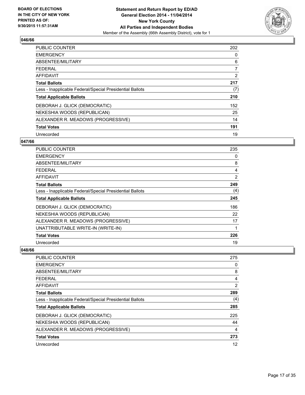

| <b>PUBLIC COUNTER</b>                                    | 202 |
|----------------------------------------------------------|-----|
| <b>EMERGENCY</b>                                         | 0   |
| ABSENTEE/MILITARY                                        | 6   |
| <b>FEDERAL</b>                                           | 7   |
| AFFIDAVIT                                                | 2   |
| <b>Total Ballots</b>                                     | 217 |
| Less - Inapplicable Federal/Special Presidential Ballots | (7) |
| <b>Total Applicable Ballots</b>                          | 210 |
| DEBORAH J. GLICK (DEMOCRATIC)                            | 152 |
| NEKESHIA WOODS (REPUBLICAN)                              | 25  |
| ALEXANDER R. MEADOWS (PROGRESSIVE)                       | 14  |
| <b>Total Votes</b>                                       | 191 |
| Unrecorded                                               | 19  |

#### **047/66**

| <b>PUBLIC COUNTER</b>                                    | 235 |
|----------------------------------------------------------|-----|
| <b>EMERGENCY</b>                                         | 0   |
| ABSENTEE/MILITARY                                        | 8   |
| <b>FEDERAL</b>                                           | 4   |
| AFFIDAVIT                                                | 2   |
| <b>Total Ballots</b>                                     | 249 |
| Less - Inapplicable Federal/Special Presidential Ballots | (4) |
| <b>Total Applicable Ballots</b>                          | 245 |
| DEBORAH J. GLICK (DEMOCRATIC)                            | 186 |
| NEKESHIA WOODS (REPUBLICAN)                              | 22  |
| ALEXANDER R. MEADOWS (PROGRESSIVE)                       | 17  |
| UNATTRIBUTABLE WRITE-IN (WRITE-IN)                       | 1   |
| <b>Total Votes</b>                                       | 226 |
| Unrecorded                                               | 19  |

| <b>PUBLIC COUNTER</b>                                    | 275 |
|----------------------------------------------------------|-----|
| <b>EMERGENCY</b>                                         | 0   |
| ABSENTEE/MILITARY                                        | 8   |
| <b>FEDERAL</b>                                           | 4   |
| AFFIDAVIT                                                | 2   |
| <b>Total Ballots</b>                                     | 289 |
| Less - Inapplicable Federal/Special Presidential Ballots | (4) |
| <b>Total Applicable Ballots</b>                          | 285 |
| DEBORAH J. GLICK (DEMOCRATIC)                            | 225 |
| NEKESHIA WOODS (REPUBLICAN)                              | 44  |
| ALEXANDER R. MEADOWS (PROGRESSIVE)                       | 4   |
| <b>Total Votes</b>                                       | 273 |
| Unrecorded                                               | 12  |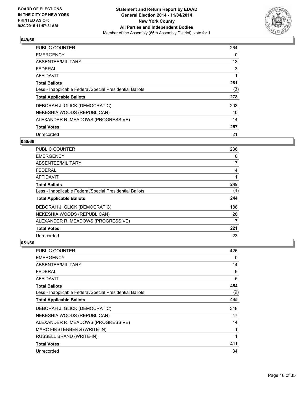

| PUBLIC COUNTER                                           | 264 |
|----------------------------------------------------------|-----|
| <b>EMERGENCY</b>                                         | 0   |
| ABSENTEE/MILITARY                                        | 13  |
| <b>FEDERAL</b>                                           | 3   |
| AFFIDAVIT                                                |     |
| <b>Total Ballots</b>                                     | 281 |
| Less - Inapplicable Federal/Special Presidential Ballots | (3) |
| <b>Total Applicable Ballots</b>                          | 278 |
| DEBORAH J. GLICK (DEMOCRATIC)                            | 203 |
| NEKESHIA WOODS (REPUBLICAN)                              | 40  |
| ALEXANDER R. MEADOWS (PROGRESSIVE)                       | 14  |
| <b>Total Votes</b>                                       | 257 |
| Unrecorded                                               | 21  |

#### **050/66**

| <b>PUBLIC COUNTER</b>                                    | 236 |
|----------------------------------------------------------|-----|
| <b>EMERGENCY</b>                                         | 0   |
| ABSENTEE/MILITARY                                        | 7   |
| <b>FEDERAL</b>                                           | 4   |
| AFFIDAVIT                                                |     |
| <b>Total Ballots</b>                                     | 248 |
| Less - Inapplicable Federal/Special Presidential Ballots | (4) |
| <b>Total Applicable Ballots</b>                          | 244 |
| DEBORAH J. GLICK (DEMOCRATIC)                            | 188 |
| NEKESHIA WOODS (REPUBLICAN)                              | 26  |
| ALEXANDER R. MEADOWS (PROGRESSIVE)                       | 7   |
| <b>Total Votes</b>                                       | 221 |
| Unrecorded                                               | 23  |

| PUBLIC COUNTER                                           | 426 |
|----------------------------------------------------------|-----|
| <b>EMERGENCY</b>                                         | 0   |
| ABSENTEE/MILITARY                                        | 14  |
| <b>FEDERAL</b>                                           | 9   |
| <b>AFFIDAVIT</b>                                         | 5   |
| <b>Total Ballots</b>                                     | 454 |
| Less - Inapplicable Federal/Special Presidential Ballots | (9) |
| <b>Total Applicable Ballots</b>                          | 445 |
| DEBORAH J. GLICK (DEMOCRATIC)                            | 348 |
| NEKESHIA WOODS (REPUBLICAN)                              | 47  |
| ALEXANDER R. MEADOWS (PROGRESSIVE)                       | 14  |
| MARC FIRSTENBERG (WRITE-IN)                              | 1   |
| RUSSELL BRAND (WRITE-IN)                                 | 1   |
| <b>Total Votes</b>                                       | 411 |
| Unrecorded                                               | 34  |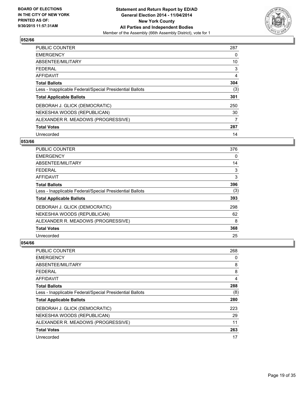

| PUBLIC COUNTER                                           | 287 |
|----------------------------------------------------------|-----|
| <b>EMERGENCY</b>                                         | 0   |
| ABSENTEE/MILITARY                                        | 10  |
| <b>FEDERAL</b>                                           | 3   |
| AFFIDAVIT                                                | 4   |
| <b>Total Ballots</b>                                     | 304 |
| Less - Inapplicable Federal/Special Presidential Ballots | (3) |
| <b>Total Applicable Ballots</b>                          | 301 |
| DEBORAH J. GLICK (DEMOCRATIC)                            | 250 |
| NEKESHIA WOODS (REPUBLICAN)                              | 30  |
| ALEXANDER R. MEADOWS (PROGRESSIVE)                       | 7   |
| <b>Total Votes</b>                                       | 287 |
| Unrecorded                                               | 14  |

#### **053/66**

| <b>PUBLIC COUNTER</b>                                    | 376 |
|----------------------------------------------------------|-----|
| <b>EMERGENCY</b>                                         | 0   |
| ABSENTEE/MILITARY                                        | 14  |
| <b>FEDERAL</b>                                           | 3   |
| AFFIDAVIT                                                | 3   |
| <b>Total Ballots</b>                                     | 396 |
| Less - Inapplicable Federal/Special Presidential Ballots | (3) |
| <b>Total Applicable Ballots</b>                          | 393 |
| DEBORAH J. GLICK (DEMOCRATIC)                            | 298 |
| NEKESHIA WOODS (REPUBLICAN)                              | 62  |
| ALEXANDER R. MEADOWS (PROGRESSIVE)                       | 8   |
| <b>Total Votes</b>                                       | 368 |
| Unrecorded                                               | 25  |

| PUBLIC COUNTER                                           | 268 |
|----------------------------------------------------------|-----|
| <b>EMERGENCY</b>                                         | 0   |
| ABSENTEE/MILITARY                                        | 8   |
| <b>FEDERAL</b>                                           | 8   |
| AFFIDAVIT                                                | 4   |
| <b>Total Ballots</b>                                     | 288 |
| Less - Inapplicable Federal/Special Presidential Ballots | (8) |
| <b>Total Applicable Ballots</b>                          | 280 |
| DEBORAH J. GLICK (DEMOCRATIC)                            | 223 |
| NEKESHIA WOODS (REPUBLICAN)                              | 29  |
| ALEXANDER R. MEADOWS (PROGRESSIVE)                       | 11  |
| <b>Total Votes</b>                                       | 263 |
| Unrecorded                                               | 17  |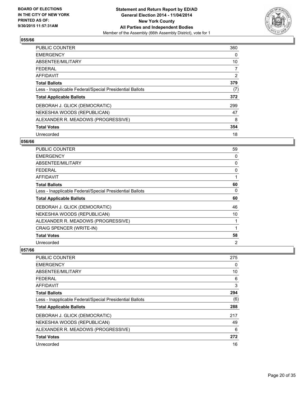

| <b>PUBLIC COUNTER</b>                                    | 360 |
|----------------------------------------------------------|-----|
| <b>EMERGENCY</b>                                         | 0   |
| ABSENTEE/MILITARY                                        | 10  |
| <b>FEDERAL</b>                                           | 7   |
| <b>AFFIDAVIT</b>                                         | 2   |
| <b>Total Ballots</b>                                     | 379 |
| Less - Inapplicable Federal/Special Presidential Ballots | (7) |
| <b>Total Applicable Ballots</b>                          | 372 |
| DEBORAH J. GLICK (DEMOCRATIC)                            | 299 |
| NEKESHIA WOODS (REPUBLICAN)                              | 47  |
| ALEXANDER R. MEADOWS (PROGRESSIVE)                       | 8   |
| <b>Total Votes</b>                                       | 354 |
| Unrecorded                                               | 18  |

#### **056/66**

| <b>PUBLIC COUNTER</b>                                    | 59 |
|----------------------------------------------------------|----|
| <b>EMERGENCY</b>                                         | 0  |
| ABSENTEE/MILITARY                                        | 0  |
| <b>FEDERAL</b>                                           | 0  |
| AFFIDAVIT                                                |    |
| <b>Total Ballots</b>                                     | 60 |
| Less - Inapplicable Federal/Special Presidential Ballots | 0  |
| <b>Total Applicable Ballots</b>                          | 60 |
| DEBORAH J. GLICK (DEMOCRATIC)                            | 46 |
| NEKESHIA WOODS (REPUBLICAN)                              | 10 |
| ALEXANDER R. MEADOWS (PROGRESSIVE)                       |    |
| CRAIG SPENCER (WRITE-IN)                                 |    |
| <b>Total Votes</b>                                       | 58 |
| Unrecorded                                               | 2  |

| <b>PUBLIC COUNTER</b>                                    | 275 |
|----------------------------------------------------------|-----|
| <b>EMERGENCY</b>                                         | 0   |
| ABSENTEE/MILITARY                                        | 10  |
| <b>FEDERAL</b>                                           | 6   |
| AFFIDAVIT                                                | 3   |
| <b>Total Ballots</b>                                     | 294 |
| Less - Inapplicable Federal/Special Presidential Ballots | (6) |
| <b>Total Applicable Ballots</b>                          | 288 |
| DEBORAH J. GLICK (DEMOCRATIC)                            | 217 |
| NEKESHIA WOODS (REPUBLICAN)                              | 49  |
| ALEXANDER R. MEADOWS (PROGRESSIVE)                       | 6   |
| <b>Total Votes</b>                                       | 272 |
| Unrecorded                                               | 16  |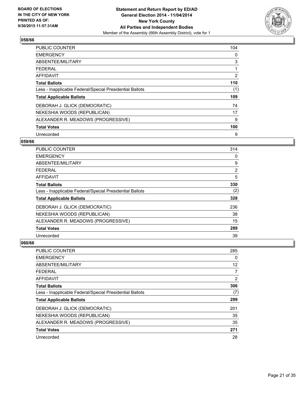

| <b>PUBLIC COUNTER</b>                                    | 104 |
|----------------------------------------------------------|-----|
| <b>EMERGENCY</b>                                         | 0   |
| ABSENTEE/MILITARY                                        | 3   |
| <b>FEDERAL</b>                                           |     |
| AFFIDAVIT                                                | 2   |
| <b>Total Ballots</b>                                     | 110 |
| Less - Inapplicable Federal/Special Presidential Ballots | (1) |
| <b>Total Applicable Ballots</b>                          | 109 |
| DEBORAH J. GLICK (DEMOCRATIC)                            | 74  |
| NEKESHIA WOODS (REPUBLICAN)                              | 17  |
| ALEXANDER R. MEADOWS (PROGRESSIVE)                       | 9   |
| <b>Total Votes</b>                                       | 100 |
| Unrecorded                                               | 9   |

#### **059/66**

| PUBLIC COUNTER                                           | 314            |
|----------------------------------------------------------|----------------|
| <b>EMERGENCY</b>                                         | 0              |
| ABSENTEE/MILITARY                                        | 9              |
| <b>FEDERAL</b>                                           | $\overline{2}$ |
| <b>AFFIDAVIT</b>                                         | 5              |
| <b>Total Ballots</b>                                     | 330            |
| Less - Inapplicable Federal/Special Presidential Ballots | (2)            |
| <b>Total Applicable Ballots</b>                          | 328            |
| DEBORAH J. GLICK (DEMOCRATIC)                            | 236            |
| NEKESHIA WOODS (REPUBLICAN)                              | 38             |
| ALEXANDER R. MEADOWS (PROGRESSIVE)                       | 15             |
| <b>Total Votes</b>                                       | 289            |
| Unrecorded                                               | 39             |

| <b>PUBLIC COUNTER</b>                                    | 285               |
|----------------------------------------------------------|-------------------|
| <b>EMERGENCY</b>                                         | 0                 |
| ABSENTEE/MILITARY                                        | $12 \overline{ }$ |
| <b>FEDERAL</b>                                           | 7                 |
| AFFIDAVIT                                                | 2                 |
| <b>Total Ballots</b>                                     | 306               |
| Less - Inapplicable Federal/Special Presidential Ballots | (7)               |
| <b>Total Applicable Ballots</b>                          | 299               |
| DEBORAH J. GLICK (DEMOCRATIC)                            | 201               |
| NEKESHIA WOODS (REPUBLICAN)                              | 35                |
| ALEXANDER R. MEADOWS (PROGRESSIVE)                       | 35                |
| <b>Total Votes</b>                                       | 271               |
| Unrecorded                                               | 28                |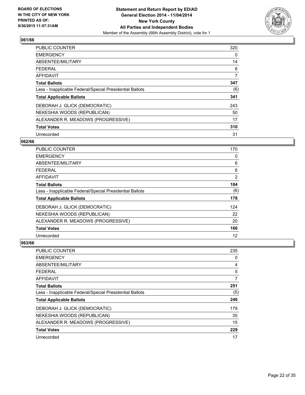

| PUBLIC COUNTER                                           | 320 |
|----------------------------------------------------------|-----|
| <b>EMERGENCY</b>                                         | 0   |
| ABSENTEE/MILITARY                                        | 14  |
| <b>FEDERAL</b>                                           | 6   |
| AFFIDAVIT                                                | 7   |
| <b>Total Ballots</b>                                     | 347 |
| Less - Inapplicable Federal/Special Presidential Ballots | (6) |
| <b>Total Applicable Ballots</b>                          | 341 |
| DEBORAH J. GLICK (DEMOCRATIC)                            | 243 |
| NEKESHIA WOODS (REPUBLICAN)                              | 50  |
| ALEXANDER R. MEADOWS (PROGRESSIVE)                       | 17  |
| <b>Total Votes</b>                                       | 310 |
| Unrecorded                                               | 31  |

#### **062/66**

| <b>PUBLIC COUNTER</b>                                    | 170 |
|----------------------------------------------------------|-----|
| <b>EMERGENCY</b>                                         | 0   |
| ABSENTEE/MILITARY                                        | 6   |
| <b>FEDERAL</b>                                           | 6   |
| AFFIDAVIT                                                | 2   |
| <b>Total Ballots</b>                                     | 184 |
| Less - Inapplicable Federal/Special Presidential Ballots | (6) |
| <b>Total Applicable Ballots</b>                          | 178 |
| DEBORAH J. GLICK (DEMOCRATIC)                            | 124 |
| NEKESHIA WOODS (REPUBLICAN)                              | 22  |
| ALEXANDER R. MEADOWS (PROGRESSIVE)                       | 20  |
| <b>Total Votes</b>                                       | 166 |
| Unrecorded                                               | 12  |

| PUBLIC COUNTER                                           | 235 |
|----------------------------------------------------------|-----|
| <b>EMERGENCY</b>                                         | 0   |
| ABSENTEE/MILITARY                                        | 4   |
| <b>FEDERAL</b>                                           | 5   |
| AFFIDAVIT                                                | 7   |
| <b>Total Ballots</b>                                     | 251 |
| Less - Inapplicable Federal/Special Presidential Ballots | (5) |
| <b>Total Applicable Ballots</b>                          | 246 |
| DEBORAH J. GLICK (DEMOCRATIC)                            | 179 |
| NEKESHIA WOODS (REPUBLICAN)                              | 35  |
| ALEXANDER R. MEADOWS (PROGRESSIVE)                       | 15  |
| <b>Total Votes</b>                                       | 229 |
| Unrecorded                                               | 17  |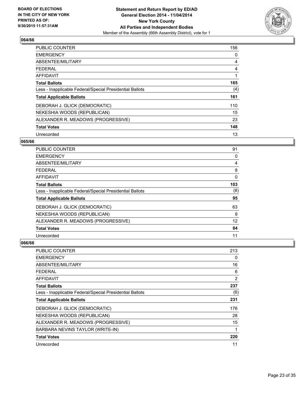

| <b>PUBLIC COUNTER</b>                                    | 156 |
|----------------------------------------------------------|-----|
| <b>EMERGENCY</b>                                         | 0   |
| ABSENTEE/MILITARY                                        | 4   |
| <b>FEDERAL</b>                                           | 4   |
| AFFIDAVIT                                                |     |
| <b>Total Ballots</b>                                     | 165 |
| Less - Inapplicable Federal/Special Presidential Ballots | (4) |
| <b>Total Applicable Ballots</b>                          | 161 |
| DEBORAH J. GLICK (DEMOCRATIC)                            | 110 |
| NEKESHIA WOODS (REPUBLICAN)                              | 15  |
| ALEXANDER R. MEADOWS (PROGRESSIVE)                       | 23  |
| <b>Total Votes</b>                                       | 148 |
| Unrecorded                                               | 13  |

#### **065/66**

| PUBLIC COUNTER                                           | 91  |
|----------------------------------------------------------|-----|
| <b>EMERGENCY</b>                                         | 0   |
| ABSENTEE/MILITARY                                        | 4   |
| <b>FEDERAL</b>                                           | 8   |
| AFFIDAVIT                                                | 0   |
| <b>Total Ballots</b>                                     | 103 |
| Less - Inapplicable Federal/Special Presidential Ballots | (8) |
| <b>Total Applicable Ballots</b>                          | 95  |
| DEBORAH J. GLICK (DEMOCRATIC)                            | 63  |
| NEKESHIA WOODS (REPUBLICAN)                              | 9   |
| ALEXANDER R. MEADOWS (PROGRESSIVE)                       | 12  |
| <b>Total Votes</b>                                       | 84  |
| Unrecorded                                               | 11  |

| <b>PUBLIC COUNTER</b>                                    | 213 |
|----------------------------------------------------------|-----|
| <b>EMERGENCY</b>                                         | 0   |
| ABSENTEE/MILITARY                                        | 16  |
| <b>FEDERAL</b>                                           | 6   |
| AFFIDAVIT                                                | 2   |
| <b>Total Ballots</b>                                     | 237 |
| Less - Inapplicable Federal/Special Presidential Ballots | (6) |
| <b>Total Applicable Ballots</b>                          | 231 |
| DEBORAH J. GLICK (DEMOCRATIC)                            | 176 |
| NEKESHIA WOODS (REPUBLICAN)                              | 28  |
| ALEXANDER R. MEADOWS (PROGRESSIVE)                       | 15  |
| BARBARA NEVINS TAYLOR (WRITE-IN)                         | 1   |
| <b>Total Votes</b>                                       | 220 |
| Unrecorded                                               | 11  |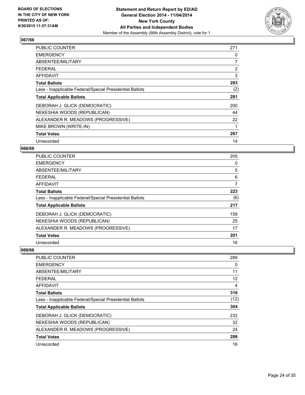

| <b>PUBLIC COUNTER</b>                                    | 271            |
|----------------------------------------------------------|----------------|
| <b>EMERGENCY</b>                                         | 0              |
| ABSENTEE/MILITARY                                        | 7              |
| <b>FEDERAL</b>                                           | $\overline{2}$ |
| AFFIDAVIT                                                | 3              |
| <b>Total Ballots</b>                                     | 283            |
| Less - Inapplicable Federal/Special Presidential Ballots | (2)            |
| <b>Total Applicable Ballots</b>                          | 281            |
| DEBORAH J. GLICK (DEMOCRATIC)                            | 200            |
| NEKESHIA WOODS (REPUBLICAN)                              | 44             |
| ALEXANDER R. MEADOWS (PROGRESSIVE)                       | 22             |
| MIKE BROWN (WRITE-IN)                                    |                |
| <b>Total Votes</b>                                       | 267            |
| Unrecorded                                               | 14             |

## **068/66**

| PUBLIC COUNTER                                           | 205 |
|----------------------------------------------------------|-----|
| <b>EMERGENCY</b>                                         | 0   |
| ABSENTEE/MILITARY                                        | 5   |
| FEDERAL                                                  | 6   |
| AFFIDAVIT                                                | 7   |
| <b>Total Ballots</b>                                     | 223 |
| Less - Inapplicable Federal/Special Presidential Ballots | (6) |
| <b>Total Applicable Ballots</b>                          | 217 |
| DEBORAH J. GLICK (DEMOCRATIC)                            | 159 |
| NEKESHIA WOODS (REPUBLICAN)                              | 25  |
| ALEXANDER R. MEADOWS (PROGRESSIVE)                       | 17  |
| <b>Total Votes</b>                                       | 201 |
| Unrecorded                                               | 16  |

| <b>PUBLIC COUNTER</b>                                    | 289               |
|----------------------------------------------------------|-------------------|
| <b>EMERGENCY</b>                                         | 0                 |
| ABSENTEE/MILITARY                                        | 11                |
| <b>FEDERAL</b>                                           | $12 \overline{ }$ |
| AFFIDAVIT                                                | 4                 |
| <b>Total Ballots</b>                                     | 316               |
| Less - Inapplicable Federal/Special Presidential Ballots | (12)              |
| <b>Total Applicable Ballots</b>                          | 304               |
| DEBORAH J. GLICK (DEMOCRATIC)                            | 232               |
| NEKESHIA WOODS (REPUBLICAN)                              | 32                |
| ALEXANDER R. MEADOWS (PROGRESSIVE)                       | 24                |
| <b>Total Votes</b>                                       | 288               |
| Unrecorded                                               | 16                |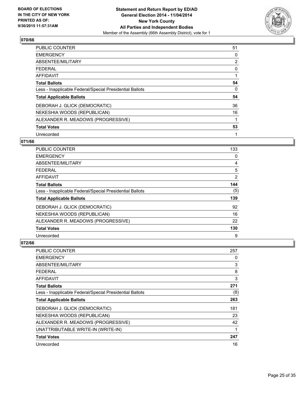

| <b>PUBLIC COUNTER</b>                                    | 51             |
|----------------------------------------------------------|----------------|
| <b>EMERGENCY</b>                                         | 0              |
| ABSENTEE/MILITARY                                        | $\overline{2}$ |
| <b>FEDERAL</b>                                           | 0              |
| AFFIDAVIT                                                |                |
| <b>Total Ballots</b>                                     | 54             |
| Less - Inapplicable Federal/Special Presidential Ballots | 0              |
| <b>Total Applicable Ballots</b>                          | 54             |
| DEBORAH J. GLICK (DEMOCRATIC)                            | 36             |
| NEKESHIA WOODS (REPUBLICAN)                              | 16             |
| ALEXANDER R. MEADOWS (PROGRESSIVE)                       |                |
| <b>Total Votes</b>                                       | 53             |
| Unrecorded                                               | 1              |

## **071/66**

| <b>PUBLIC COUNTER</b>                                    | 133 |
|----------------------------------------------------------|-----|
| <b>EMERGENCY</b>                                         | 0   |
| ABSENTEE/MILITARY                                        | 4   |
| <b>FEDERAL</b>                                           | 5   |
| AFFIDAVIT                                                | 2   |
| <b>Total Ballots</b>                                     | 144 |
| Less - Inapplicable Federal/Special Presidential Ballots | (5) |
| <b>Total Applicable Ballots</b>                          | 139 |
| DEBORAH J. GLICK (DEMOCRATIC)                            | 92  |
| NEKESHIA WOODS (REPUBLICAN)                              | 16  |
| ALEXANDER R. MEADOWS (PROGRESSIVE)                       | 22  |
| <b>Total Votes</b>                                       | 130 |
| Unrecorded                                               | 9   |

| <b>PUBLIC COUNTER</b>                                    | 257 |
|----------------------------------------------------------|-----|
| <b>EMERGENCY</b>                                         | 0   |
| ABSENTEE/MILITARY                                        | 3   |
| FEDERAL                                                  | 8   |
| AFFIDAVIT                                                | 3   |
| <b>Total Ballots</b>                                     | 271 |
| Less - Inapplicable Federal/Special Presidential Ballots | (8) |
| <b>Total Applicable Ballots</b>                          | 263 |
| DEBORAH J. GLICK (DEMOCRATIC)                            | 181 |
| NEKESHIA WOODS (REPUBLICAN)                              | 23  |
| ALEXANDER R. MEADOWS (PROGRESSIVE)                       | 42  |
| UNATTRIBUTABLE WRITE-IN (WRITE-IN)                       | 1   |
| <b>Total Votes</b>                                       | 247 |
| Unrecorded                                               | 16  |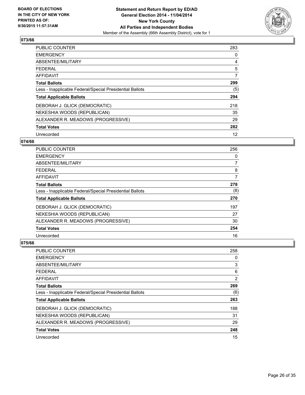

| <b>PUBLIC COUNTER</b>                                    | 283 |
|----------------------------------------------------------|-----|
| <b>EMERGENCY</b>                                         | 0   |
| ABSENTEE/MILITARY                                        | 4   |
| <b>FEDERAL</b>                                           | 5   |
| AFFIDAVIT                                                | 7   |
| <b>Total Ballots</b>                                     | 299 |
| Less - Inapplicable Federal/Special Presidential Ballots | (5) |
| <b>Total Applicable Ballots</b>                          | 294 |
| DEBORAH J. GLICK (DEMOCRATIC)                            | 218 |
| NEKESHIA WOODS (REPUBLICAN)                              | 35  |
| ALEXANDER R. MEADOWS (PROGRESSIVE)                       | 29  |
| <b>Total Votes</b>                                       | 282 |
| Unrecorded                                               | 12  |

## **074/66**

| <b>PUBLIC COUNTER</b>                                    | 256 |
|----------------------------------------------------------|-----|
| <b>EMERGENCY</b>                                         | 0   |
| ABSENTEE/MILITARY                                        | 7   |
| FFDFRAI                                                  | 8   |
| AFFIDAVIT                                                | 7   |
| <b>Total Ballots</b>                                     | 278 |
| Less - Inapplicable Federal/Special Presidential Ballots | (8) |
| <b>Total Applicable Ballots</b>                          | 270 |
| DEBORAH J. GLICK (DEMOCRATIC)                            | 197 |
| NEKESHIA WOODS (REPUBLICAN)                              | 27  |
| ALEXANDER R. MEADOWS (PROGRESSIVE)                       | 30  |
| <b>Total Votes</b>                                       | 254 |
| Unrecorded                                               | 16  |

| PUBLIC COUNTER                                           | 258 |
|----------------------------------------------------------|-----|
| <b>EMERGENCY</b>                                         | 0   |
| ABSENTEE/MILITARY                                        | 3   |
| <b>FEDERAL</b>                                           | 6   |
| AFFIDAVIT                                                | 2   |
| <b>Total Ballots</b>                                     | 269 |
| Less - Inapplicable Federal/Special Presidential Ballots | (6) |
| <b>Total Applicable Ballots</b>                          | 263 |
| DEBORAH J. GLICK (DEMOCRATIC)                            | 188 |
| NEKESHIA WOODS (REPUBLICAN)                              | 31  |
| ALEXANDER R. MEADOWS (PROGRESSIVE)                       | 29  |
| <b>Total Votes</b>                                       | 248 |
| Unrecorded                                               | 15  |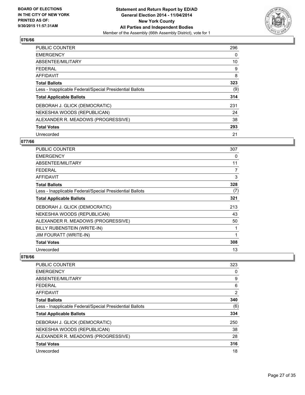

| PUBLIC COUNTER                                           | 296 |
|----------------------------------------------------------|-----|
| <b>EMERGENCY</b>                                         | 0   |
| ABSENTEE/MILITARY                                        | 10  |
| <b>FEDERAL</b>                                           | 9   |
| AFFIDAVIT                                                | 8   |
| <b>Total Ballots</b>                                     | 323 |
| Less - Inapplicable Federal/Special Presidential Ballots | (9) |
| <b>Total Applicable Ballots</b>                          | 314 |
| DEBORAH J. GLICK (DEMOCRATIC)                            | 231 |
| NEKESHIA WOODS (REPUBLICAN)                              | 24  |
| ALEXANDER R. MEADOWS (PROGRESSIVE)                       | 38  |
| <b>Total Votes</b>                                       | 293 |
| Unrecorded                                               | 21  |

## **077/66**

| PUBLIC COUNTER                                           | 307 |
|----------------------------------------------------------|-----|
| <b>EMERGENCY</b>                                         | 0   |
| ABSENTEE/MILITARY                                        | 11  |
| <b>FEDERAL</b>                                           | 7   |
| <b>AFFIDAVIT</b>                                         | 3   |
| <b>Total Ballots</b>                                     | 328 |
| Less - Inapplicable Federal/Special Presidential Ballots | (7) |
| <b>Total Applicable Ballots</b>                          | 321 |
| DEBORAH J. GLICK (DEMOCRATIC)                            | 213 |
| NEKESHIA WOODS (REPUBLICAN)                              | 43  |
| ALEXANDER R. MEADOWS (PROGRESSIVE)                       | 50  |
| BILLY RUBENSTEIN (WRITE-IN)                              |     |
| <b>JIM FOURATT (WRITE-IN)</b>                            | 1   |
| <b>Total Votes</b>                                       | 308 |
| Unrecorded                                               | 13  |

| 323 |
|-----|
| 0   |
| 9   |
| 6   |
| 2   |
| 340 |
| (6) |
| 334 |
| 250 |
| 38  |
| 28  |
| 316 |
| 18  |
|     |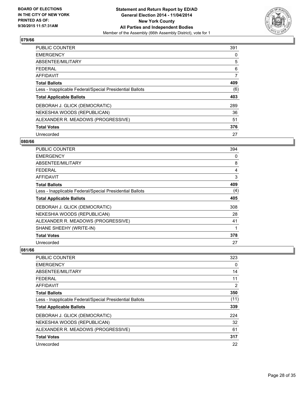

| <b>PUBLIC COUNTER</b>                                    | 391 |
|----------------------------------------------------------|-----|
| <b>EMERGENCY</b>                                         | 0   |
| ABSENTEE/MILITARY                                        | 5   |
| <b>FEDERAL</b>                                           | 6   |
| AFFIDAVIT                                                | 7   |
| <b>Total Ballots</b>                                     | 409 |
| Less - Inapplicable Federal/Special Presidential Ballots | (6) |
| <b>Total Applicable Ballots</b>                          | 403 |
| DEBORAH J. GLICK (DEMOCRATIC)                            | 289 |
| NEKESHIA WOODS (REPUBLICAN)                              | 36  |
| ALEXANDER R. MEADOWS (PROGRESSIVE)                       | 51  |
| <b>Total Votes</b>                                       | 376 |
| Unrecorded                                               | 27  |

#### **080/66**

| <b>PUBLIC COUNTER</b>                                    | 394 |
|----------------------------------------------------------|-----|
| <b>EMERGENCY</b>                                         | 0   |
| ABSENTEE/MILITARY                                        | 8   |
| <b>FEDERAL</b>                                           | 4   |
| AFFIDAVIT                                                | 3   |
| <b>Total Ballots</b>                                     | 409 |
| Less - Inapplicable Federal/Special Presidential Ballots | (4) |
| <b>Total Applicable Ballots</b>                          | 405 |
| DEBORAH J. GLICK (DEMOCRATIC)                            | 308 |
| NEKESHIA WOODS (REPUBLICAN)                              | 28  |
| ALEXANDER R. MEADOWS (PROGRESSIVE)                       | 41  |
| SHANE SHEEHY (WRITE-IN)                                  | 1   |
| <b>Total Votes</b>                                       | 378 |
| Unrecorded                                               | 27  |

| <b>PUBLIC COUNTER</b>                                    | 323  |
|----------------------------------------------------------|------|
| <b>EMERGENCY</b>                                         | 0    |
| ABSENTEE/MILITARY                                        | 14   |
| <b>FEDERAL</b>                                           | 11   |
| AFFIDAVIT                                                | 2    |
| <b>Total Ballots</b>                                     | 350  |
| Less - Inapplicable Federal/Special Presidential Ballots | (11) |
| <b>Total Applicable Ballots</b>                          | 339  |
| DEBORAH J. GLICK (DEMOCRATIC)                            | 224  |
| NEKESHIA WOODS (REPUBLICAN)                              | 32   |
| ALEXANDER R. MEADOWS (PROGRESSIVE)                       | 61   |
| <b>Total Votes</b>                                       | 317  |
| Unrecorded                                               | 22   |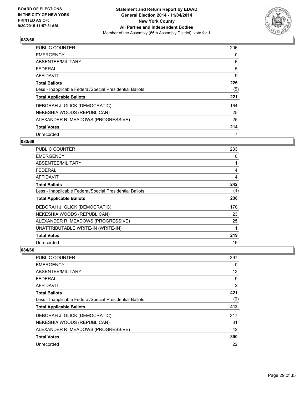

| PUBLIC COUNTER                                           | 206 |
|----------------------------------------------------------|-----|
| <b>EMERGENCY</b>                                         | 0   |
| ABSENTEE/MILITARY                                        | 6   |
| FEDERAL                                                  | 5   |
| AFFIDAVIT                                                | 9   |
| <b>Total Ballots</b>                                     | 226 |
| Less - Inapplicable Federal/Special Presidential Ballots | (5) |
| <b>Total Applicable Ballots</b>                          | 221 |
| DEBORAH J. GLICK (DEMOCRATIC)                            | 164 |
| NEKESHIA WOODS (REPUBLICAN)                              | 25  |
| ALEXANDER R. MEADOWS (PROGRESSIVE)                       | 25  |
| <b>Total Votes</b>                                       | 214 |
| Unrecorded                                               | 7   |

#### **083/66**

| <b>PUBLIC COUNTER</b>                                    | 233 |
|----------------------------------------------------------|-----|
| <b>EMERGENCY</b>                                         | 0   |
| ABSENTEE/MILITARY                                        | 1   |
| <b>FEDERAL</b>                                           | 4   |
| <b>AFFIDAVIT</b>                                         | 4   |
| <b>Total Ballots</b>                                     | 242 |
| Less - Inapplicable Federal/Special Presidential Ballots | (4) |
| <b>Total Applicable Ballots</b>                          | 238 |
| DEBORAH J. GLICK (DEMOCRATIC)                            | 170 |
| NEKESHIA WOODS (REPUBLICAN)                              | 23  |
| ALEXANDER R. MEADOWS (PROGRESSIVE)                       | 25  |
| UNATTRIBUTABLE WRITE-IN (WRITE-IN)                       | 1   |
| <b>Total Votes</b>                                       | 219 |
| Unrecorded                                               | 19  |

| <b>PUBLIC COUNTER</b>                                    | 397 |
|----------------------------------------------------------|-----|
| <b>EMERGENCY</b>                                         | 0   |
| ABSENTEE/MILITARY                                        | 13  |
| FFDFRAI                                                  | 9   |
| AFFIDAVIT                                                | 2   |
| <b>Total Ballots</b>                                     | 421 |
| Less - Inapplicable Federal/Special Presidential Ballots | (9) |
| <b>Total Applicable Ballots</b>                          | 412 |
| DEBORAH J. GLICK (DEMOCRATIC)                            | 317 |
| NEKESHIA WOODS (REPUBLICAN)                              | 31  |
| ALEXANDER R. MEADOWS (PROGRESSIVE)                       | 42  |
| <b>Total Votes</b>                                       | 390 |
| Unrecorded                                               | 22  |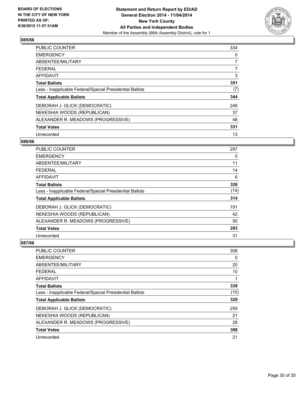

| <b>PUBLIC COUNTER</b>                                    | 334            |
|----------------------------------------------------------|----------------|
| <b>EMERGENCY</b>                                         | 0              |
| ABSENTEE/MILITARY                                        | $\overline{7}$ |
| <b>FEDERAL</b>                                           | 7              |
| AFFIDAVIT                                                | 3              |
| <b>Total Ballots</b>                                     | 351            |
| Less - Inapplicable Federal/Special Presidential Ballots | (7)            |
| <b>Total Applicable Ballots</b>                          | 344            |
| DEBORAH J. GLICK (DEMOCRATIC)                            | 246            |
| NEKESHIA WOODS (REPUBLICAN)                              | 37             |
| ALEXANDER R. MEADOWS (PROGRESSIVE)                       | 48             |
| <b>Total Votes</b>                                       | 331            |
| Unrecorded                                               | 13             |

#### **086/66**

| <b>PUBLIC COUNTER</b>                                    | 297  |
|----------------------------------------------------------|------|
| <b>EMERGENCY</b>                                         | 0    |
| ABSENTEE/MILITARY                                        | 11   |
| <b>FEDERAL</b>                                           | 14   |
| AFFIDAVIT                                                | 6    |
| <b>Total Ballots</b>                                     | 328  |
| Less - Inapplicable Federal/Special Presidential Ballots | (14) |
| <b>Total Applicable Ballots</b>                          | 314  |
| DEBORAH J. GLICK (DEMOCRATIC)                            | 191  |
| NEKESHIA WOODS (REPUBLICAN)                              | 42   |
| ALEXANDER R. MEADOWS (PROGRESSIVE)                       | 50   |
| <b>Total Votes</b>                                       | 283  |
| Unrecorded                                               | 31   |

| PUBLIC COUNTER                                           | 308  |
|----------------------------------------------------------|------|
| <b>EMERGENCY</b>                                         | 0    |
| ABSENTEE/MILITARY                                        | 20   |
| FEDERAL                                                  | 10   |
| AFFIDAVIT                                                | 1    |
| <b>Total Ballots</b>                                     | 339  |
| Less - Inapplicable Federal/Special Presidential Ballots | (10) |
| <b>Total Applicable Ballots</b>                          | 329  |
| DEBORAH J. GLICK (DEMOCRATIC)                            | 259  |
| NEKESHIA WOODS (REPUBLICAN)                              | 21   |
| ALEXANDER R. MEADOWS (PROGRESSIVE)                       | 28   |
| <b>Total Votes</b>                                       | 308  |
| Unrecorded                                               | 21   |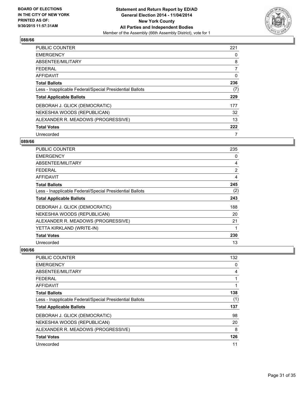

| <b>PUBLIC COUNTER</b>                                    | 221 |
|----------------------------------------------------------|-----|
| <b>EMERGENCY</b>                                         | 0   |
| ABSENTEE/MILITARY                                        | 8   |
| <b>FEDERAL</b>                                           | 7   |
| AFFIDAVIT                                                | 0   |
| <b>Total Ballots</b>                                     | 236 |
| Less - Inapplicable Federal/Special Presidential Ballots | (7) |
| <b>Total Applicable Ballots</b>                          | 229 |
| DEBORAH J. GLICK (DEMOCRATIC)                            | 177 |
| NEKESHIA WOODS (REPUBLICAN)                              | 32  |
| ALEXANDER R. MEADOWS (PROGRESSIVE)                       | 13  |
| <b>Total Votes</b>                                       | 222 |
| Unrecorded                                               | 7   |

#### **089/66**

| PUBLIC COUNTER                                           | 235            |
|----------------------------------------------------------|----------------|
| <b>EMERGENCY</b>                                         | 0              |
| ABSENTEE/MILITARY                                        | 4              |
| FEDERAL                                                  | $\overline{2}$ |
| AFFIDAVIT                                                | 4              |
| <b>Total Ballots</b>                                     | 245            |
| Less - Inapplicable Federal/Special Presidential Ballots | (2)            |
| <b>Total Applicable Ballots</b>                          | 243            |
| DEBORAH J. GLICK (DEMOCRATIC)                            | 188            |
| NEKESHIA WOODS (REPUBLICAN)                              | 20             |
| ALEXANDER R. MEADOWS (PROGRESSIVE)                       | 21             |
| YETTA KIRKLAND (WRITE-IN)                                | 1              |
| <b>Total Votes</b>                                       | 230            |
| Unrecorded                                               | 13             |

| <b>PUBLIC COUNTER</b>                                    | 132 |
|----------------------------------------------------------|-----|
| <b>EMERGENCY</b>                                         | 0   |
| ABSENTEE/MILITARY                                        | 4   |
| <b>FEDERAL</b>                                           | 1   |
| AFFIDAVIT                                                | 1   |
| <b>Total Ballots</b>                                     | 138 |
| Less - Inapplicable Federal/Special Presidential Ballots | (1) |
| <b>Total Applicable Ballots</b>                          | 137 |
| DEBORAH J. GLICK (DEMOCRATIC)                            | 98  |
| NEKESHIA WOODS (REPUBLICAN)                              | 20  |
| ALEXANDER R. MEADOWS (PROGRESSIVE)                       | 8   |
| <b>Total Votes</b>                                       | 126 |
| Unrecorded                                               | 11  |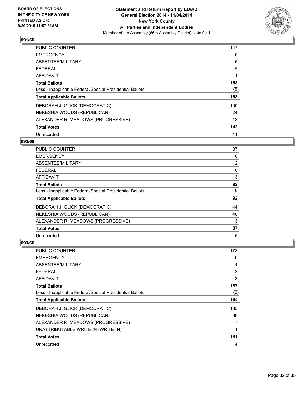

| PUBLIC COUNTER                                           | 147 |
|----------------------------------------------------------|-----|
| <b>EMERGENCY</b>                                         | 0   |
| ABSENTEE/MILITARY                                        | 5   |
| <b>FEDERAL</b>                                           | 5   |
| AFFIDAVIT                                                |     |
| <b>Total Ballots</b>                                     | 158 |
| Less - Inapplicable Federal/Special Presidential Ballots | (5) |
| <b>Total Applicable Ballots</b>                          | 153 |
| DEBORAH J. GLICK (DEMOCRATIC)                            | 100 |
| NEKESHIA WOODS (REPUBLICAN)                              | 24  |
| ALEXANDER R. MEADOWS (PROGRESSIVE)                       | 18  |
| <b>Total Votes</b>                                       | 142 |
| Unrecorded                                               | 11  |

#### **092/66**

| PUBLIC COUNTER                                           | 87 |
|----------------------------------------------------------|----|
| <b>EMERGENCY</b>                                         | 0  |
| ABSENTEE/MILITARY                                        | 2  |
| <b>FEDERAL</b>                                           | 0  |
| AFFIDAVIT                                                | 3  |
| <b>Total Ballots</b>                                     | 92 |
| Less - Inapplicable Federal/Special Presidential Ballots | 0  |
| <b>Total Applicable Ballots</b>                          | 92 |
| DEBORAH J. GLICK (DEMOCRATIC)                            | 44 |
| NEKESHIA WOODS (REPUBLICAN)                              | 40 |
| ALEXANDER R. MEADOWS (PROGRESSIVE)                       | 3  |
| <b>Total Votes</b>                                       | 87 |
| Unrecorded                                               | 5  |

| <b>PUBLIC COUNTER</b>                                    | 178 |
|----------------------------------------------------------|-----|
| <b>EMERGENCY</b>                                         | 0   |
| ABSENTEE/MILITARY                                        | 4   |
| <b>FEDERAL</b>                                           | 2   |
| AFFIDAVIT                                                | 3   |
| <b>Total Ballots</b>                                     | 187 |
| Less - Inapplicable Federal/Special Presidential Ballots | (2) |
| <b>Total Applicable Ballots</b>                          | 185 |
| DEBORAH J. GLICK (DEMOCRATIC)                            | 135 |
| NEKESHIA WOODS (REPUBLICAN)                              | 38  |
| ALEXANDER R. MEADOWS (PROGRESSIVE)                       | 7   |
| UNATTRIBUTABLE WRITE-IN (WRITE-IN)                       | 1   |
| <b>Total Votes</b>                                       | 181 |
| Unrecorded                                               | 4   |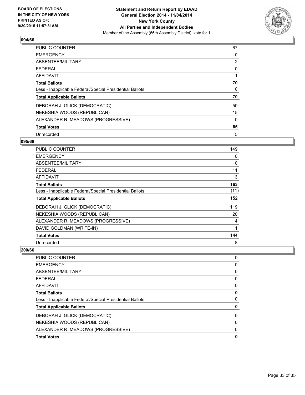

| <b>PUBLIC COUNTER</b>                                    | 67             |
|----------------------------------------------------------|----------------|
| <b>EMERGENCY</b>                                         | 0              |
| ABSENTEE/MILITARY                                        | $\overline{2}$ |
| <b>FEDERAL</b>                                           | 0              |
| AFFIDAVIT                                                |                |
| <b>Total Ballots</b>                                     | 70             |
| Less - Inapplicable Federal/Special Presidential Ballots | 0              |
| <b>Total Applicable Ballots</b>                          | 70             |
| DEBORAH J. GLICK (DEMOCRATIC)                            | 50             |
| NEKESHIA WOODS (REPUBLICAN)                              | 15             |
| ALEXANDER R. MEADOWS (PROGRESSIVE)                       | $\Omega$       |
| <b>Total Votes</b>                                       | 65             |
| Unrecorded                                               | 5              |

#### **095/66**

| <b>PUBLIC COUNTER</b>                                    | 149  |
|----------------------------------------------------------|------|
| <b>EMERGENCY</b>                                         | 0    |
| ABSENTEE/MILITARY                                        | 0    |
| FEDERAL                                                  | 11   |
| AFFIDAVIT                                                | 3    |
| <b>Total Ballots</b>                                     | 163  |
| Less - Inapplicable Federal/Special Presidential Ballots | (11) |
| <b>Total Applicable Ballots</b>                          | 152  |
| DEBORAH J. GLICK (DEMOCRATIC)                            | 119  |
| NEKESHIA WOODS (REPUBLICAN)                              | 20   |
| ALEXANDER R. MEADOWS (PROGRESSIVE)                       | 4    |
| DAVID GOLDMAN (WRITE-IN)                                 | 1    |
| <b>Total Votes</b>                                       | 144  |
| Unrecorded                                               | 8    |

| PUBLIC COUNTER                                           | 0 |
|----------------------------------------------------------|---|
| <b>EMERGENCY</b>                                         | 0 |
| ABSENTEE/MILITARY                                        | 0 |
| <b>FEDERAL</b>                                           | 0 |
| <b>AFFIDAVIT</b>                                         | 0 |
| <b>Total Ballots</b>                                     | 0 |
| Less - Inapplicable Federal/Special Presidential Ballots | 0 |
| <b>Total Applicable Ballots</b>                          | 0 |
| DEBORAH J. GLICK (DEMOCRATIC)                            | 0 |
| NEKESHIA WOODS (REPUBLICAN)                              | 0 |
| ALEXANDER R. MEADOWS (PROGRESSIVE)                       | 0 |
| <b>Total Votes</b>                                       | 0 |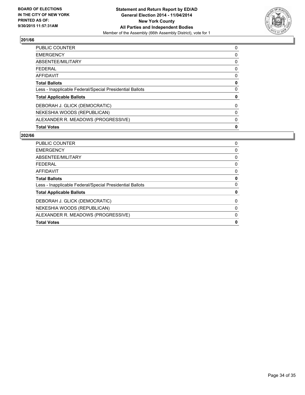

| <b>Total Votes</b>                                       | 0 |
|----------------------------------------------------------|---|
| ALEXANDER R. MEADOWS (PROGRESSIVE)                       | 0 |
| NEKESHIA WOODS (REPUBLICAN)                              | 0 |
| DEBORAH J. GLICK (DEMOCRATIC)                            | 0 |
| <b>Total Applicable Ballots</b>                          | 0 |
| Less - Inapplicable Federal/Special Presidential Ballots | 0 |
| <b>Total Ballots</b>                                     | 0 |
| <b>AFFIDAVIT</b>                                         | 0 |
| <b>FEDERAL</b>                                           | 0 |
| ABSENTEE/MILITARY                                        | 0 |
| <b>EMERGENCY</b>                                         | 0 |
| <b>PUBLIC COUNTER</b>                                    | 0 |

| PUBLIC COUNTER                                           | 0 |
|----------------------------------------------------------|---|
| <b>EMERGENCY</b>                                         | 0 |
| ABSENTEE/MILITARY                                        | 0 |
| <b>FEDERAL</b>                                           | 0 |
| AFFIDAVIT                                                | 0 |
| <b>Total Ballots</b>                                     | 0 |
| Less - Inapplicable Federal/Special Presidential Ballots | 0 |
| <b>Total Applicable Ballots</b>                          | 0 |
| DEBORAH J. GLICK (DEMOCRATIC)                            | 0 |
| NEKESHIA WOODS (REPUBLICAN)                              | 0 |
| ALEXANDER R. MEADOWS (PROGRESSIVE)                       | 0 |
| <b>Total Votes</b>                                       | 0 |